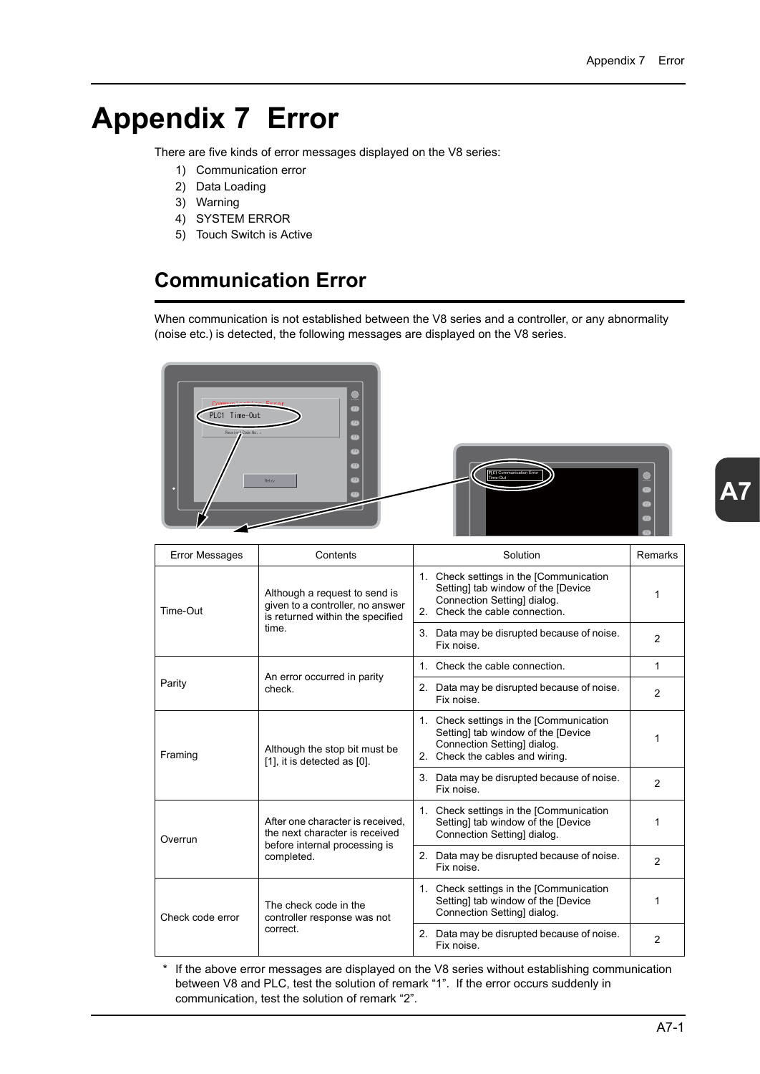# **Appendix 7 Error**

There are five kinds of error messages displayed on the V8 series:

- 1) Communication error
- 2) Data Loading
- 3) Warning
- 4) SYSTEM ERROR
- 5) Touch Switch is Active

# **Communication Error**

When communication is not established between the V8 series and a controller, or any abnormality (noise etc.) is detected, the following messages are displayed on the V8 series.



| <b>Error Messages</b> | Contents                                                                                                          | Solution                                                                                                                                                      | <b>Remarks</b> |
|-----------------------|-------------------------------------------------------------------------------------------------------------------|---------------------------------------------------------------------------------------------------------------------------------------------------------------|----------------|
| Time-Out              | Although a request to send is<br>given to a controller, no answer<br>is returned within the specified<br>time.    | 1. Check settings in the [Communication<br>Setting] tab window of the [Device<br>Connection Setting] dialog.<br>Check the cable connection.<br>2 <sup>1</sup> |                |
|                       |                                                                                                                   | 3. Data may be disrupted because of noise.<br>Fix noise.                                                                                                      | $\overline{2}$ |
|                       | An error occurred in parity<br>check.                                                                             | 1. Check the cable connection.                                                                                                                                | 1              |
| Parity                |                                                                                                                   | 2. Data may be disrupted because of noise.<br>Fix noise.                                                                                                      | $\mathfrak{p}$ |
| Framing               | Although the stop bit must be<br>[1], it is detected as [0].                                                      | 1. Check settings in the [Communication<br>Setting] tab window of the [Device<br>Connection Setting] dialog.<br>2. Check the cables and wiring.               |                |
|                       |                                                                                                                   | 3. Data may be disrupted because of noise.<br>Fix noise                                                                                                       | $\overline{2}$ |
| Overrun               | After one character is received.<br>the next character is received<br>before internal processing is<br>completed. | 1. Check settings in the [Communication<br>Setting] tab window of the [Device<br>Connection Setting] dialog.                                                  | 1              |
|                       |                                                                                                                   | 2. Data may be disrupted because of noise.<br>Fix noise                                                                                                       | $\overline{2}$ |
| Check code error      | The check code in the<br>controller response was not<br>correct.                                                  | 1. Check settings in the [Communication]<br>Setting] tab window of the [Device<br>Connection Setting] dialog.                                                 |                |
|                       |                                                                                                                   | 2. Data may be disrupted because of noise.<br>Fix noise.                                                                                                      | $\mathfrak{p}$ |

\* If the above error messages are displayed on the V8 series without establishing communication between V8 and PLC, test the solution of remark "1". If the error occurs suddenly in communication, test the solution of remark "2".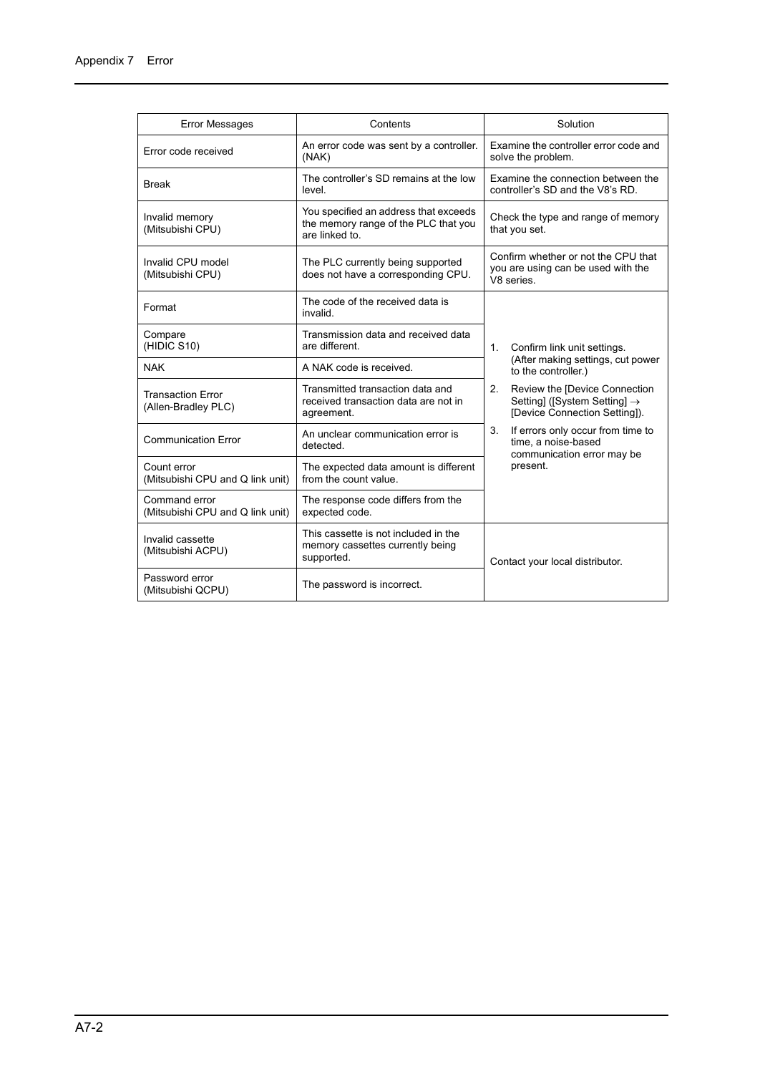| <b>Error Messages</b>                             | Contents                                                                                        | Solution                                                                                                         |  |
|---------------------------------------------------|-------------------------------------------------------------------------------------------------|------------------------------------------------------------------------------------------------------------------|--|
| Error code received                               | An error code was sent by a controller.<br>(NAK)                                                | Examine the controller error code and<br>solve the problem.                                                      |  |
| <b>Break</b>                                      | The controller's SD remains at the low<br>level.                                                | Examine the connection between the<br>controller's SD and the V8's RD.                                           |  |
| Invalid memory<br>(Mitsubishi CPU)                | You specified an address that exceeds<br>the memory range of the PLC that you<br>are linked to. | Check the type and range of memory<br>that you set.                                                              |  |
| Invalid CPU model<br>(Mitsubishi CPU)             | The PLC currently being supported<br>does not have a corresponding CPU.                         | Confirm whether or not the CPU that<br>you are using can be used with the<br>V8 series.                          |  |
| Format                                            | The code of the received data is<br>invalid.                                                    |                                                                                                                  |  |
| Compare<br>(HIDIC S10)                            | Transmission data and received data<br>are different.                                           | 1.<br>Confirm link unit settings.                                                                                |  |
| <b>NAK</b>                                        | A NAK code is received.                                                                         | (After making settings, cut power<br>to the controller.)                                                         |  |
| <b>Transaction Error</b><br>(Allen-Bradley PLC)   | Transmitted transaction data and<br>received transaction data are not in<br>agreement.          | 2.<br>Review the [Device Connection<br>Setting] ([System Setting] $\rightarrow$<br>[Device Connection Setting]). |  |
| <b>Communication Error</b>                        | An unclear communication error is<br>detected.                                                  | 3.<br>If errors only occur from time to<br>time, a noise-based<br>communication error may be                     |  |
| Count error<br>(Mitsubishi CPU and Q link unit)   | The expected data amount is different<br>from the count value.                                  | present.                                                                                                         |  |
| Command error<br>(Mitsubishi CPU and Q link unit) | The response code differs from the<br>expected code.                                            |                                                                                                                  |  |
| Invalid cassette<br>(Mitsubishi ACPU)             | This cassette is not included in the<br>memory cassettes currently being<br>supported.          | Contact your local distributor.                                                                                  |  |
| Password error<br>(Mitsubishi QCPU)               | The password is incorrect.                                                                      |                                                                                                                  |  |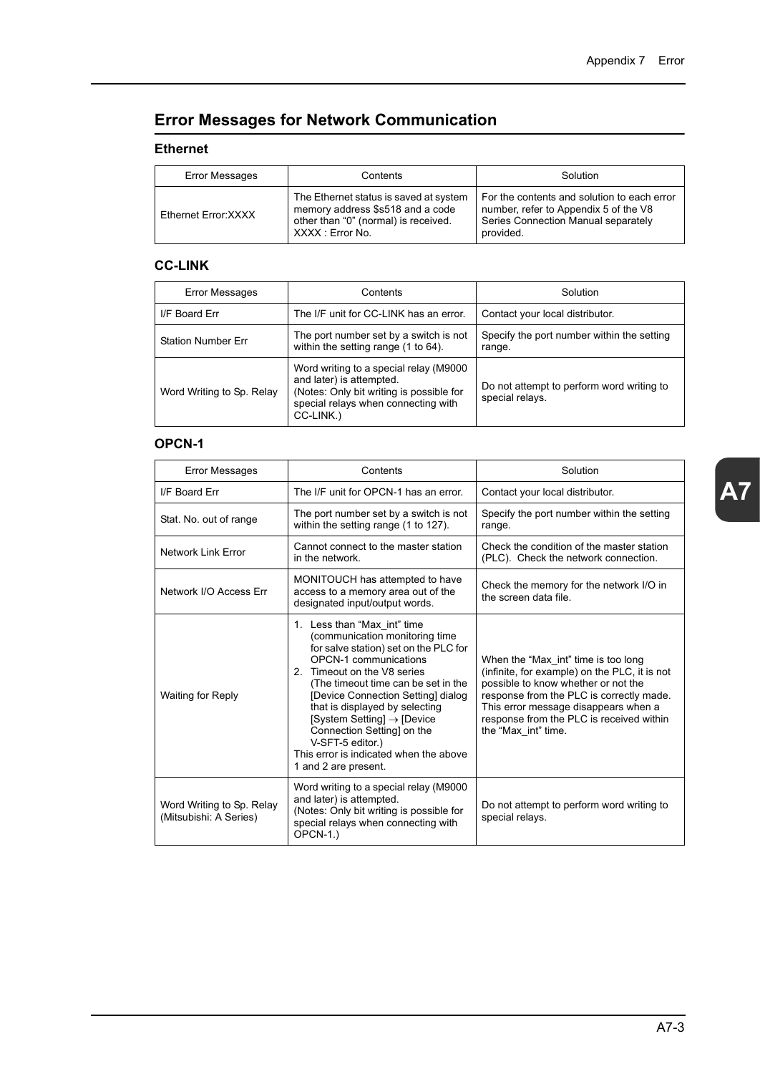# **Error Messages for Network Communication**

#### **Ethernet**

| Error Messages       | Contents                                                                                                                               | Solution                                                                                                                                 |
|----------------------|----------------------------------------------------------------------------------------------------------------------------------------|------------------------------------------------------------------------------------------------------------------------------------------|
| Ethernet Error: XXXX | The Ethernet status is saved at system<br>memory address \$s518 and a code<br>other than "0" (normal) is received.<br>XXXX : Error No. | For the contents and solution to each error<br>number, refer to Appendix 5 of the V8<br>Series Connection Manual separately<br>provided. |

# **CC-LINK**

| Error Messages            | Contents                                                                                                                                                           | Solution                                                     |
|---------------------------|--------------------------------------------------------------------------------------------------------------------------------------------------------------------|--------------------------------------------------------------|
| I/F Board Err             | The I/F unit for CC-LINK has an error.                                                                                                                             | Contact your local distributor.                              |
| <b>Station Number Err</b> | The port number set by a switch is not<br>within the setting range (1 to 64).                                                                                      | Specify the port number within the setting<br>range.         |
| Word Writing to Sp. Relay | Word writing to a special relay (M9000<br>and later) is attempted.<br>(Notes: Only bit writing is possible for<br>special relays when connecting with<br>CC-LINK.) | Do not attempt to perform word writing to<br>special relays. |

#### **OPCN-1**

| <b>Error Messages</b>                               | Contents                                                                                                                                                                                                                                                                                                                                                                                                                                           | Solution                                                                                                                                                                                                                                                                           |
|-----------------------------------------------------|----------------------------------------------------------------------------------------------------------------------------------------------------------------------------------------------------------------------------------------------------------------------------------------------------------------------------------------------------------------------------------------------------------------------------------------------------|------------------------------------------------------------------------------------------------------------------------------------------------------------------------------------------------------------------------------------------------------------------------------------|
| I/F Board Err                                       | The I/F unit for OPCN-1 has an error.                                                                                                                                                                                                                                                                                                                                                                                                              | Contact your local distributor.                                                                                                                                                                                                                                                    |
| Stat. No. out of range                              | The port number set by a switch is not<br>within the setting range (1 to 127).                                                                                                                                                                                                                                                                                                                                                                     | Specify the port number within the setting<br>range.                                                                                                                                                                                                                               |
| Network Link Error                                  | Cannot connect to the master station<br>in the network.                                                                                                                                                                                                                                                                                                                                                                                            | Check the condition of the master station<br>(PLC). Check the network connection.                                                                                                                                                                                                  |
| Network I/O Access Err                              | MONITOUCH has attempted to have<br>access to a memory area out of the<br>designated input/output words.                                                                                                                                                                                                                                                                                                                                            | Check the memory for the network I/O in<br>the screen data file.                                                                                                                                                                                                                   |
| <b>Waiting for Reply</b>                            | 1. Less than "Max int" time<br>(communication monitoring time<br>for salve station) set on the PLC for<br><b>OPCN-1</b> communications<br>2. Timeout on the V8 series<br>(The timeout time can be set in the<br>[Device Connection Setting] dialog<br>that is displayed by selecting<br>[System Setting] $\rightarrow$ [Device<br>Connection Setting] on the<br>V-SFT-5 editor.)<br>This error is indicated when the above<br>1 and 2 are present. | When the "Max int" time is too long<br>(infinite, for example) on the PLC, it is not<br>possible to know whether or not the<br>response from the PLC is correctly made.<br>This error message disappears when a<br>response from the PLC is received within<br>the "Max int" time. |
| Word Writing to Sp. Relay<br>(Mitsubishi: A Series) | Word writing to a special relay (M9000<br>and later) is attempted.<br>(Notes: Only bit writing is possible for<br>special relays when connecting with<br>$OPCN-1.$                                                                                                                                                                                                                                                                                 | Do not attempt to perform word writing to<br>special relays.                                                                                                                                                                                                                       |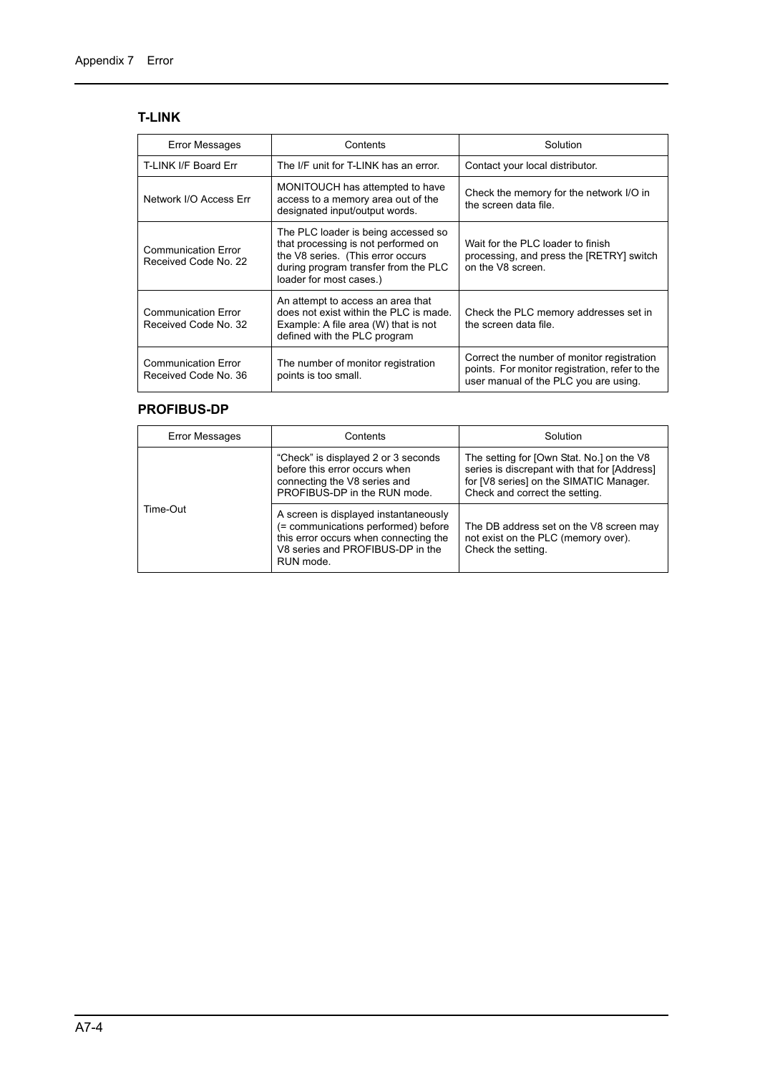# **T-LINK**

| <b>Error Messages</b>                              | Contents                                                                                                                                                                           | Solution                                                                                                                              |
|----------------------------------------------------|------------------------------------------------------------------------------------------------------------------------------------------------------------------------------------|---------------------------------------------------------------------------------------------------------------------------------------|
| T-LINK I/F Board Err                               | The I/F unit for T-LINK has an error.                                                                                                                                              | Contact your local distributor.                                                                                                       |
| Network I/O Access Err                             | MONITOUCH has attempted to have<br>access to a memory area out of the<br>designated input/output words.                                                                            | Check the memory for the network I/O in<br>the screen data file.                                                                      |
| <b>Communication Error</b><br>Received Code No. 22 | The PLC loader is being accessed so<br>that processing is not performed on<br>the V8 series. (This error occurs<br>during program transfer from the PLC<br>loader for most cases.) | Wait for the PLC loader to finish<br>processing, and press the [RETRY] switch<br>on the V8 screen.                                    |
| <b>Communication Error</b><br>Received Code No. 32 | An attempt to access an area that<br>does not exist within the PLC is made.<br>Example: A file area (W) that is not<br>defined with the PLC program                                | Check the PLC memory addresses set in<br>the screen data file.                                                                        |
| <b>Communication Error</b><br>Received Code No. 36 | The number of monitor registration<br>points is too small.                                                                                                                         | Correct the number of monitor registration<br>points. For monitor registration, refer to the<br>user manual of the PLC you are using. |

### **PROFIBUS-DP**

| Error Messages | Contents                                                                                                                                                               | Solution                                                                                                                                                               |
|----------------|------------------------------------------------------------------------------------------------------------------------------------------------------------------------|------------------------------------------------------------------------------------------------------------------------------------------------------------------------|
|                | "Check" is displayed 2 or 3 seconds<br>before this error occurs when<br>connecting the V8 series and<br>PROFIBUS-DP in the RUN mode.                                   | The setting for [Own Stat. No.] on the V8<br>series is discrepant with that for [Address]<br>for [V8 series] on the SIMATIC Manager.<br>Check and correct the setting. |
| Time-Out       | A screen is displayed instantaneously<br>(= communications performed) before<br>this error occurs when connecting the<br>V8 series and PROFIBUS-DP in the<br>RUN mode. | The DB address set on the V8 screen may<br>not exist on the PLC (memory over).<br>Check the setting.                                                                   |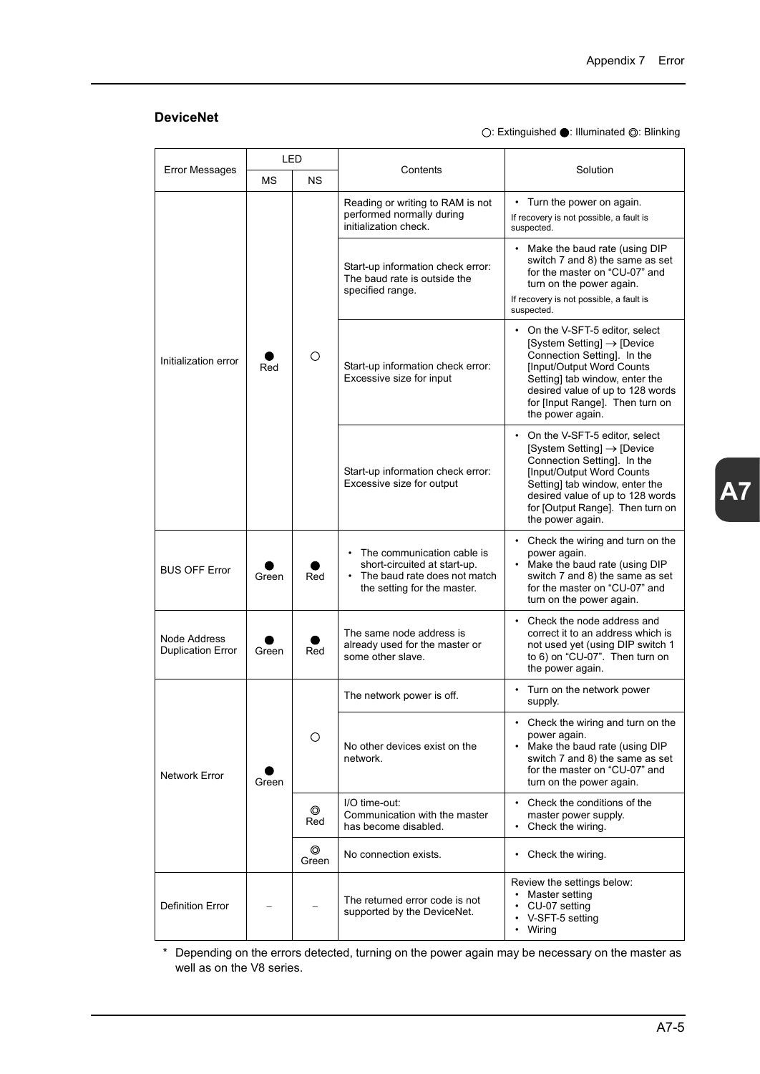# **DeviceNet**

○: Extinguished ●: Illuminated ◎: Blinking

| <b>Error Messages</b>                    |       | LED        | Contents                                                                                                                    | Solution                                                                                                                                                                                                                                                                              |                                                                                                                                                                                                  |
|------------------------------------------|-------|------------|-----------------------------------------------------------------------------------------------------------------------------|---------------------------------------------------------------------------------------------------------------------------------------------------------------------------------------------------------------------------------------------------------------------------------------|--------------------------------------------------------------------------------------------------------------------------------------------------------------------------------------------------|
|                                          | ΜS    | <b>NS</b>  |                                                                                                                             |                                                                                                                                                                                                                                                                                       |                                                                                                                                                                                                  |
|                                          | Red   |            | Reading or writing to RAM is not<br>performed normally during<br>initialization check.                                      | • Turn the power on again.<br>If recovery is not possible, a fault is<br>suspected.                                                                                                                                                                                                   |                                                                                                                                                                                                  |
| Initialization error                     |       |            | Start-up information check error:<br>The baud rate is outside the<br>specified range.                                       | • Make the baud rate (using DIP<br>switch 7 and 8) the same as set<br>for the master on "CU-07" and<br>turn on the power again.<br>If recovery is not possible, a fault is<br>suspected.                                                                                              |                                                                                                                                                                                                  |
|                                          |       | O          | Start-up information check error:<br>Excessive size for input                                                               | On the V-SFT-5 editor, select<br>$System Setting$ ] $\rightarrow$ [Device]<br>Connection Setting]. In the<br>[Input/Output Word Counts<br>Setting] tab window, enter the<br>desired value of up to 128 words<br>for [Input Range]. Then turn on<br>the power again.                   |                                                                                                                                                                                                  |
|                                          |       |            | Start-up information check error:<br>Excessive size for output                                                              | On the V-SFT-5 editor, select<br>$\bullet$<br>[System Setting] $\rightarrow$ [Device<br>Connection Setting]. In the<br><b>IInput/Output Word Counts</b><br>Setting] tab window, enter the<br>desired value of up to 128 words<br>for [Output Range]. Then turn on<br>the power again. |                                                                                                                                                                                                  |
| <b>BUS OFF Error</b>                     | Green | Red        | • The communication cable is<br>short-circuited at start-up.<br>The baud rate does not match<br>the setting for the master. | • Check the wiring and turn on the<br>power again.<br>Make the baud rate (using DIP<br>$\bullet$<br>switch 7 and 8) the same as set<br>for the master on "CU-07" and<br>turn on the power again.                                                                                      |                                                                                                                                                                                                  |
| Node Address<br><b>Duplication Error</b> | Green | Red        | The same node address is<br>already used for the master or<br>some other slave.                                             | $\bullet$<br>Check the node address and<br>correct it to an address which is<br>not used yet (using DIP switch 1<br>to 6) on "CU-07". Then turn on<br>the power again.                                                                                                                |                                                                                                                                                                                                  |
|                                          |       |            | The network power is off.                                                                                                   | • Turn on the network power<br>supply.                                                                                                                                                                                                                                                |                                                                                                                                                                                                  |
| Network Error                            | Green |            | О                                                                                                                           | No other devices exist on the<br>network.                                                                                                                                                                                                                                             | Check the wiring and turn on the<br>$\bullet$<br>power again.<br>• Make the baud rate (using DIP<br>switch 7 and 8) the same as set<br>for the master on "CU-07" and<br>turn on the power again. |
|                                          |       | ⊚<br>Red   | I/O time-out:<br>Communication with the master<br>has become disabled.                                                      | Check the conditions of the<br>master power supply.<br>Check the wiring.<br>$\bullet$                                                                                                                                                                                                 |                                                                                                                                                                                                  |
|                                          |       | ◎<br>Green | No connection exists.                                                                                                       | • Check the wiring.                                                                                                                                                                                                                                                                   |                                                                                                                                                                                                  |
| <b>Definition Error</b>                  |       |            | The returned error code is not<br>supported by the DeviceNet.                                                               | Review the settings below:<br>Master setting<br>• CU-07 setting<br>• V-SFT-5 setting<br>• Wiring                                                                                                                                                                                      |                                                                                                                                                                                                  |

\* Depending on the errors detected, turning on the power again may be necessary on the master as well as on the V8 series.

**A7**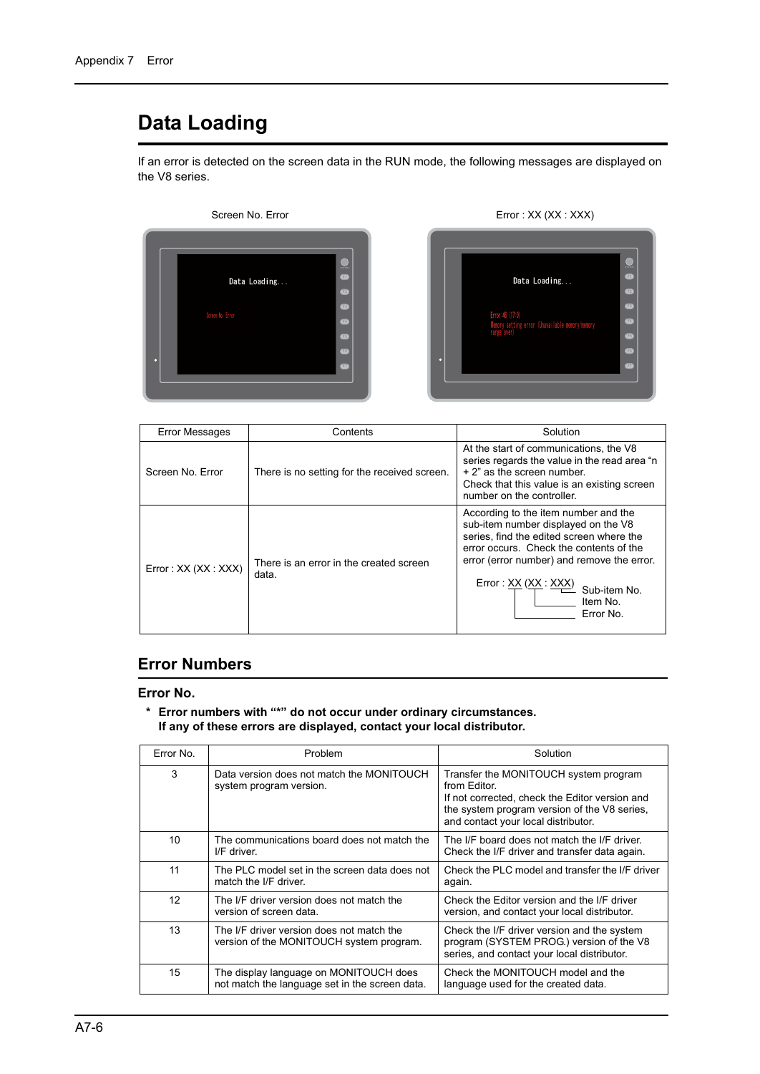# **Data Loading**

If an error is detected on the screen data in the RUN mode, the following messages are displayed on the V8 series.





| <b>Error Messages</b> | Contents                                         | Solution                                                                                                                                                                                                                                                                         |
|-----------------------|--------------------------------------------------|----------------------------------------------------------------------------------------------------------------------------------------------------------------------------------------------------------------------------------------------------------------------------------|
| Screen No. Error      | There is no setting for the received screen.     | At the start of communications, the V8<br>series regards the value in the read area "n<br>+ 2" as the screen number.<br>Check that this value is an existing screen<br>number on the controller.                                                                                 |
| Error: XX (XX: XXX)   | There is an error in the created screen<br>data. | According to the item number and the<br>sub-item number displayed on the V8<br>series, find the edited screen where the<br>error occurs. Check the contents of the<br>error (error number) and remove the error.<br>Error: XX (XX: XXX)<br>Sub-item No.<br>Item No.<br>Error No. |

# **Error Numbers**

#### **Error No.**

#### **\* Error numbers with "\*" do not occur under ordinary circumstances. If any of these errors are displayed, contact your local distributor.**

| Error No. | Problem                                                                                  | Solution                                                                                                                                                                                       |
|-----------|------------------------------------------------------------------------------------------|------------------------------------------------------------------------------------------------------------------------------------------------------------------------------------------------|
| 3         | Data version does not match the MONITOUCH<br>system program version.                     | Transfer the MONITOUCH system program<br>from Editor.<br>If not corrected, check the Editor version and<br>the system program version of the V8 series.<br>and contact your local distributor. |
| 10        | The communications board does not match the<br>I/F driver.                               | The I/F board does not match the I/F driver.<br>Check the I/F driver and transfer data again.                                                                                                  |
| 11        | The PLC model set in the screen data does not<br>match the I/F driver.                   | Check the PLC model and transfer the I/F driver<br>again.                                                                                                                                      |
| 12        | The I/F driver version does not match the<br>version of screen data.                     | Check the Editor version and the I/F driver<br>version, and contact your local distributor.                                                                                                    |
| 13        | The I/F driver version does not match the<br>version of the MONITOUCH system program.    | Check the I/F driver version and the system<br>program (SYSTEM PROG.) version of the V8<br>series, and contact your local distributor.                                                         |
| 15        | The display language on MONITOUCH does<br>not match the language set in the screen data. | Check the MONITOUCH model and the<br>language used for the created data.                                                                                                                       |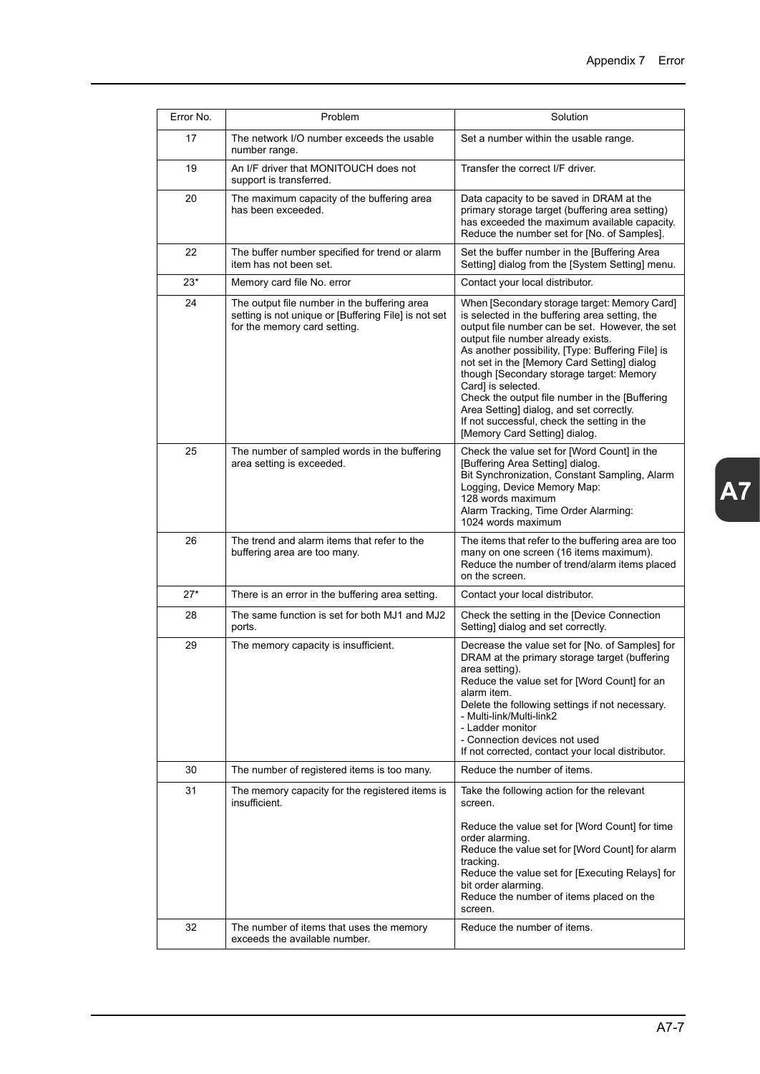| Error No. | Problem                                                                                                                              | Solution                                                                                                                                                                                                                                                                                                                                                                                                                                                                                                                                     |
|-----------|--------------------------------------------------------------------------------------------------------------------------------------|----------------------------------------------------------------------------------------------------------------------------------------------------------------------------------------------------------------------------------------------------------------------------------------------------------------------------------------------------------------------------------------------------------------------------------------------------------------------------------------------------------------------------------------------|
| 17        | The network I/O number exceeds the usable<br>number range.                                                                           | Set a number within the usable range.                                                                                                                                                                                                                                                                                                                                                                                                                                                                                                        |
| 19        | An I/F driver that MONITOUCH does not<br>support is transferred.                                                                     | Transfer the correct I/F driver.                                                                                                                                                                                                                                                                                                                                                                                                                                                                                                             |
| 20        | The maximum capacity of the buffering area<br>has been exceeded.                                                                     | Data capacity to be saved in DRAM at the<br>primary storage target (buffering area setting)<br>has exceeded the maximum available capacity.<br>Reduce the number set for [No. of Samples].                                                                                                                                                                                                                                                                                                                                                   |
| 22        | The buffer number specified for trend or alarm<br>item has not been set.                                                             | Set the buffer number in the [Buffering Area<br>Setting] dialog from the [System Setting] menu.                                                                                                                                                                                                                                                                                                                                                                                                                                              |
| $23*$     | Memory card file No. error                                                                                                           | Contact your local distributor.                                                                                                                                                                                                                                                                                                                                                                                                                                                                                                              |
| 24        | The output file number in the buffering area<br>setting is not unique or [Buffering File] is not set<br>for the memory card setting. | When [Secondary storage target: Memory Card]<br>is selected in the buffering area setting, the<br>output file number can be set. However, the set<br>output file number already exists.<br>As another possibility, [Type: Buffering File] is<br>not set in the [Memory Card Setting] dialog<br>though [Secondary storage target: Memory<br>Card] is selected.<br>Check the output file number in the [Buffering]<br>Area Setting] dialog, and set correctly.<br>If not successful, check the setting in the<br>[Memory Card Setting] dialog. |
| 25        | The number of sampled words in the buffering<br>area setting is exceeded.                                                            | Check the value set for [Word Count] in the<br>[Buffering Area Setting] dialog.<br>Bit Synchronization, Constant Sampling, Alarm<br>Logging, Device Memory Map:<br>128 words maximum<br>Alarm Tracking, Time Order Alarming:<br>1024 words maximum                                                                                                                                                                                                                                                                                           |
| 26        | The trend and alarm items that refer to the<br>buffering area are too many.                                                          | The items that refer to the buffering area are too<br>many on one screen (16 items maximum).<br>Reduce the number of trend/alarm items placed<br>on the screen.                                                                                                                                                                                                                                                                                                                                                                              |
| $27*$     | There is an error in the buffering area setting.                                                                                     | Contact your local distributor.                                                                                                                                                                                                                                                                                                                                                                                                                                                                                                              |
| 28        | The same function is set for both MJ1 and MJ2<br>ports.                                                                              | Check the setting in the [Device Connection<br>Setting] dialog and set correctly.                                                                                                                                                                                                                                                                                                                                                                                                                                                            |
| 29        | The memory capacity is insufficient.                                                                                                 | Decrease the value set for [No. of Samples] for<br>DRAM at the primary storage target (buffering<br>area setting).<br>Reduce the value set for [Word Count] for an<br>alarm item.<br>Delete the following settings if not necessary.<br>- Multi-link/Multi-link2<br>- Ladder monitor<br>- Connection devices not used<br>If not corrected, contact your local distributor.                                                                                                                                                                   |
| 30        | The number of registered items is too many.                                                                                          | Reduce the number of items.                                                                                                                                                                                                                                                                                                                                                                                                                                                                                                                  |
| 31        | The memory capacity for the registered items is<br>insufficient.                                                                     | Take the following action for the relevant<br>screen.<br>Reduce the value set for [Word Count] for time<br>order alarming.<br>Reduce the value set for [Word Count] for alarm<br>tracking.<br>Reduce the value set for [Executing Relays] for<br>bit order alarming.<br>Reduce the number of items placed on the<br>screen.                                                                                                                                                                                                                  |
| 32        | The number of items that uses the memory<br>exceeds the available number.                                                            | Reduce the number of items.                                                                                                                                                                                                                                                                                                                                                                                                                                                                                                                  |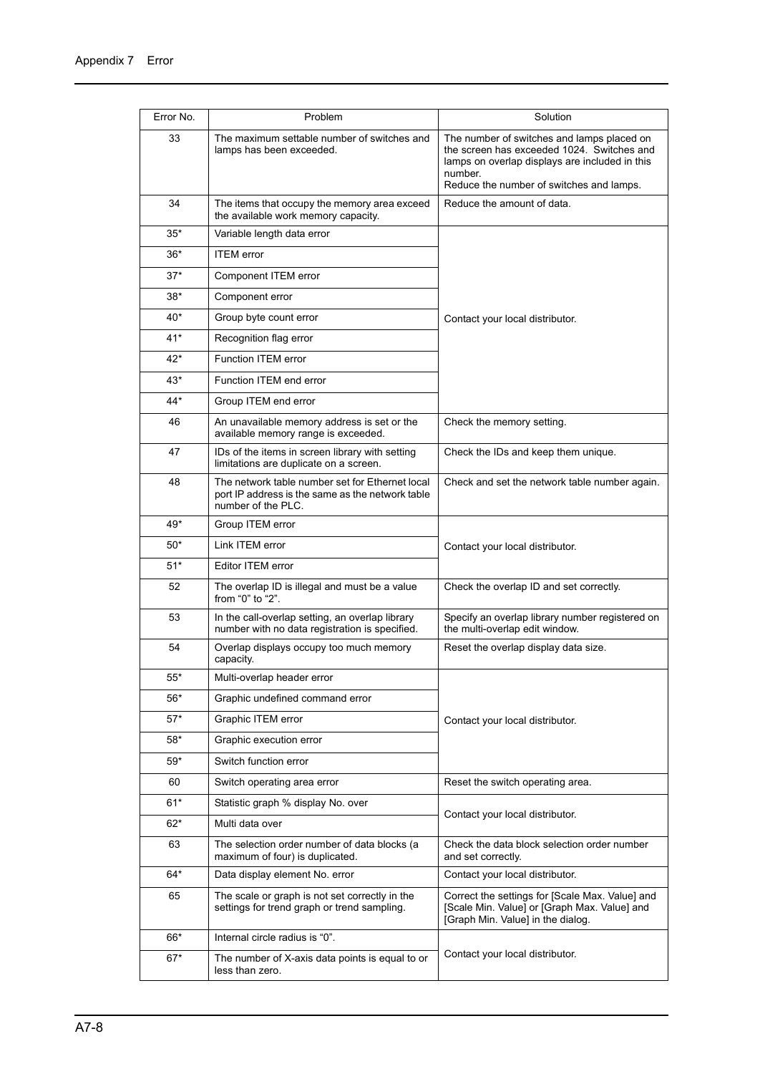| Error No. | Problem                                                                                                                   | Solution                                                                                                                                                                                          |
|-----------|---------------------------------------------------------------------------------------------------------------------------|---------------------------------------------------------------------------------------------------------------------------------------------------------------------------------------------------|
| 33        | The maximum settable number of switches and<br>lamps has been exceeded.                                                   | The number of switches and lamps placed on<br>the screen has exceeded 1024. Switches and<br>lamps on overlap displays are included in this<br>number.<br>Reduce the number of switches and lamps. |
| 34        | The items that occupy the memory area exceed<br>the available work memory capacity.                                       | Reduce the amount of data.                                                                                                                                                                        |
| 35*       | Variable length data error                                                                                                |                                                                                                                                                                                                   |
| $36*$     | <b>ITEM</b> error                                                                                                         |                                                                                                                                                                                                   |
| $37*$     | Component ITEM error                                                                                                      |                                                                                                                                                                                                   |
| $38*$     | Component error                                                                                                           |                                                                                                                                                                                                   |
| $40*$     | Group byte count error                                                                                                    | Contact your local distributor.                                                                                                                                                                   |
| $41*$     | Recognition flag error                                                                                                    |                                                                                                                                                                                                   |
| $42*$     | Function ITEM error                                                                                                       |                                                                                                                                                                                                   |
| $43*$     | Function ITEM end error                                                                                                   |                                                                                                                                                                                                   |
| $44*$     | Group ITEM end error                                                                                                      |                                                                                                                                                                                                   |
| 46        | An unavailable memory address is set or the<br>available memory range is exceeded.                                        | Check the memory setting.                                                                                                                                                                         |
| 47        | IDs of the items in screen library with setting<br>limitations are duplicate on a screen.                                 | Check the IDs and keep them unique.                                                                                                                                                               |
| 48        | The network table number set for Ethernet local<br>port IP address is the same as the network table<br>number of the PLC. | Check and set the network table number again.                                                                                                                                                     |
| 49*       | Group ITEM error                                                                                                          |                                                                                                                                                                                                   |
| $50*$     | Link ITEM error                                                                                                           | Contact your local distributor.                                                                                                                                                                   |
| $51*$     | Editor ITEM error                                                                                                         |                                                                                                                                                                                                   |
| 52        | The overlap ID is illegal and must be a value<br>from "0" to "2".                                                         | Check the overlap ID and set correctly.                                                                                                                                                           |
| 53        | In the call-overlap setting, an overlap library<br>number with no data registration is specified.                         | Specify an overlap library number registered on<br>the multi-overlap edit window.                                                                                                                 |
| 54        | Overlap displays occupy too much memory<br>capacity.                                                                      | Reset the overlap display data size.                                                                                                                                                              |
| 55*       | Multi-overlap header error                                                                                                |                                                                                                                                                                                                   |
| $56*$     | Graphic undefined command error                                                                                           |                                                                                                                                                                                                   |
| $57*$     | Graphic ITEM error                                                                                                        | Contact your local distributor.                                                                                                                                                                   |
| 58*       | Graphic execution error                                                                                                   |                                                                                                                                                                                                   |
| 59*       | Switch function error                                                                                                     |                                                                                                                                                                                                   |
| 60        | Switch operating area error                                                                                               | Reset the switch operating area.                                                                                                                                                                  |
| 61*       | Statistic graph % display No. over                                                                                        |                                                                                                                                                                                                   |
| $62*$     | Multi data over                                                                                                           | Contact your local distributor.                                                                                                                                                                   |
| 63        | The selection order number of data blocks (a<br>maximum of four) is duplicated.                                           | Check the data block selection order number<br>and set correctly.                                                                                                                                 |
| 64*       | Data display element No. error                                                                                            | Contact your local distributor.                                                                                                                                                                   |
| 65        | The scale or graph is not set correctly in the<br>settings for trend graph or trend sampling.                             | Correct the settings for [Scale Max. Value] and<br>[Scale Min. Value] or [Graph Max. Value] and<br>[Graph Min. Value] in the dialog.                                                              |
| 66*       | Internal circle radius is "0".                                                                                            |                                                                                                                                                                                                   |
| $67*$     | The number of X-axis data points is equal to or<br>less than zero.                                                        | Contact your local distributor.                                                                                                                                                                   |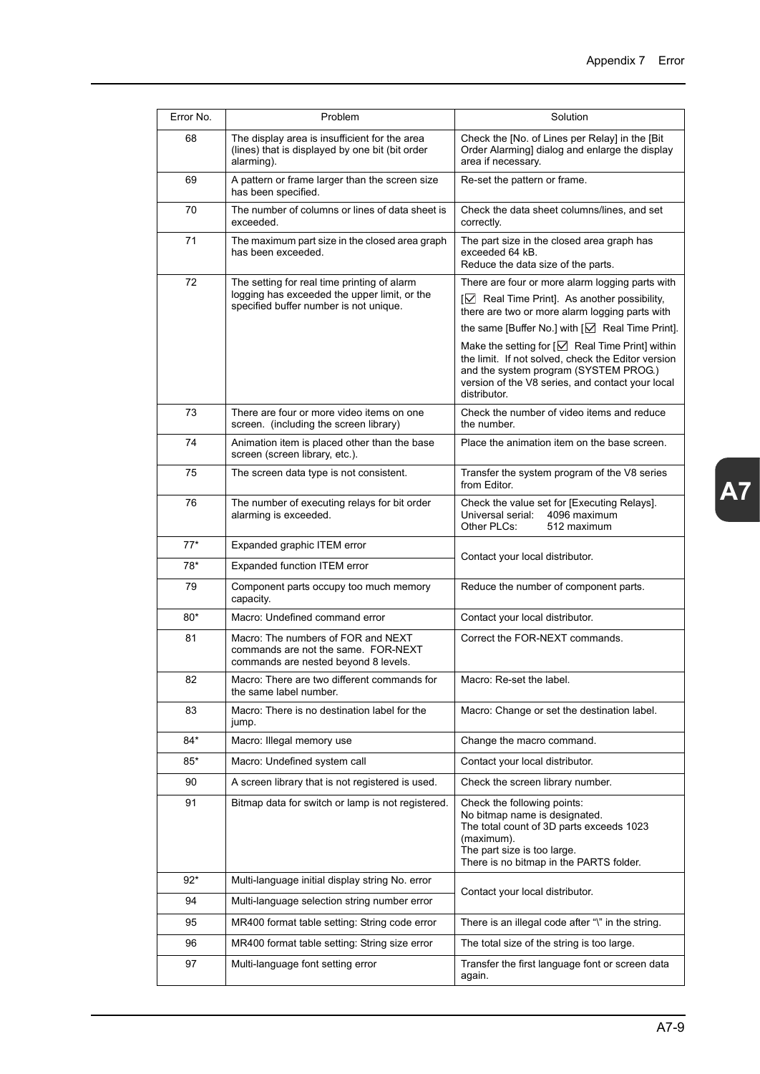| Error No. | Problem                                                                                                                               | Solution                                                                                                                                                                                                                                                                                                                                                                                                                                                              |
|-----------|---------------------------------------------------------------------------------------------------------------------------------------|-----------------------------------------------------------------------------------------------------------------------------------------------------------------------------------------------------------------------------------------------------------------------------------------------------------------------------------------------------------------------------------------------------------------------------------------------------------------------|
| 68        | The display area is insufficient for the area<br>(lines) that is displayed by one bit (bit order<br>alarming).                        | Check the [No. of Lines per Relay] in the [Bit]<br>Order Alarming] dialog and enlarge the display<br>area if necessary.                                                                                                                                                                                                                                                                                                                                               |
| 69        | A pattern or frame larger than the screen size<br>has been specified.                                                                 | Re-set the pattern or frame.                                                                                                                                                                                                                                                                                                                                                                                                                                          |
| 70        | The number of columns or lines of data sheet is<br>exceeded.                                                                          | Check the data sheet columns/lines, and set<br>correctly.                                                                                                                                                                                                                                                                                                                                                                                                             |
| 71        | The maximum part size in the closed area graph<br>has been exceeded.                                                                  | The part size in the closed area graph has<br>exceeded 64 kB.<br>Reduce the data size of the parts.                                                                                                                                                                                                                                                                                                                                                                   |
| 72        | The setting for real time printing of alarm<br>logging has exceeded the upper limit, or the<br>specified buffer number is not unique. | There are four or more alarm logging parts with<br>$\boxed{\vee}$ Real Time Print]. As another possibility,<br>there are two or more alarm logging parts with<br>the same [Buffer No.] with $[\sqrt{]}$ Real Time Print].<br>Make the setting for $\lceil \bigcirc \rceil$ Real Time Print] within<br>the limit. If not solved, check the Editor version<br>and the system program (SYSTEM PROG.)<br>version of the V8 series, and contact your local<br>distributor. |
| 73        | There are four or more video items on one<br>screen. (including the screen library)                                                   | Check the number of video items and reduce<br>the number.                                                                                                                                                                                                                                                                                                                                                                                                             |
| 74        | Animation item is placed other than the base<br>screen (screen library, etc.).                                                        | Place the animation item on the base screen.                                                                                                                                                                                                                                                                                                                                                                                                                          |
| 75        | The screen data type is not consistent.                                                                                               | Transfer the system program of the V8 series<br>from Editor.                                                                                                                                                                                                                                                                                                                                                                                                          |
| 76        | The number of executing relays for bit order<br>alarming is exceeded.                                                                 | Check the value set for [Executing Relays].<br>4096 maximum<br>Universal serial:<br>Other PLCs:<br>512 maximum                                                                                                                                                                                                                                                                                                                                                        |
| $77*$     | Expanded graphic ITEM error                                                                                                           |                                                                                                                                                                                                                                                                                                                                                                                                                                                                       |
| 78*       | Expanded function ITEM error                                                                                                          | Contact your local distributor.                                                                                                                                                                                                                                                                                                                                                                                                                                       |
| 79        | Component parts occupy too much memory<br>capacity.                                                                                   | Reduce the number of component parts.                                                                                                                                                                                                                                                                                                                                                                                                                                 |
| $80*$     | Macro: Undefined command error                                                                                                        | Contact your local distributor.                                                                                                                                                                                                                                                                                                                                                                                                                                       |
| 81        | Macro: The numbers of FOR and NEXT<br>commands are not the same. FOR-NEXT<br>commands are nested beyond 8 levels.                     | Correct the FOR-NEXT commands.                                                                                                                                                                                                                                                                                                                                                                                                                                        |
| 82        | Macro: There are two different commands for<br>the same label number.                                                                 | Macro: Re-set the label.                                                                                                                                                                                                                                                                                                                                                                                                                                              |
| 83        | Macro: There is no destination label for the<br>jump.                                                                                 | Macro: Change or set the destination label.                                                                                                                                                                                                                                                                                                                                                                                                                           |
| 84*       | Macro: Illegal memory use                                                                                                             | Change the macro command.                                                                                                                                                                                                                                                                                                                                                                                                                                             |
| $85*$     | Macro: Undefined system call                                                                                                          | Contact your local distributor.                                                                                                                                                                                                                                                                                                                                                                                                                                       |
| 90        | A screen library that is not registered is used.                                                                                      | Check the screen library number.                                                                                                                                                                                                                                                                                                                                                                                                                                      |
| 91        | Bitmap data for switch or lamp is not registered.                                                                                     | Check the following points:<br>No bitmap name is designated.<br>The total count of 3D parts exceeds 1023<br>(maximum).<br>The part size is too large.<br>There is no bitmap in the PARTS folder.                                                                                                                                                                                                                                                                      |
| $92*$     | Multi-language initial display string No. error                                                                                       | Contact your local distributor.                                                                                                                                                                                                                                                                                                                                                                                                                                       |
| 94        | Multi-language selection string number error                                                                                          |                                                                                                                                                                                                                                                                                                                                                                                                                                                                       |
| 95        | MR400 format table setting: String code error                                                                                         | There is an illegal code after "\" in the string.                                                                                                                                                                                                                                                                                                                                                                                                                     |
| 96        | MR400 format table setting: String size error                                                                                         | The total size of the string is too large.                                                                                                                                                                                                                                                                                                                                                                                                                            |
| 97        | Multi-language font setting error                                                                                                     | Transfer the first language font or screen data<br>again.                                                                                                                                                                                                                                                                                                                                                                                                             |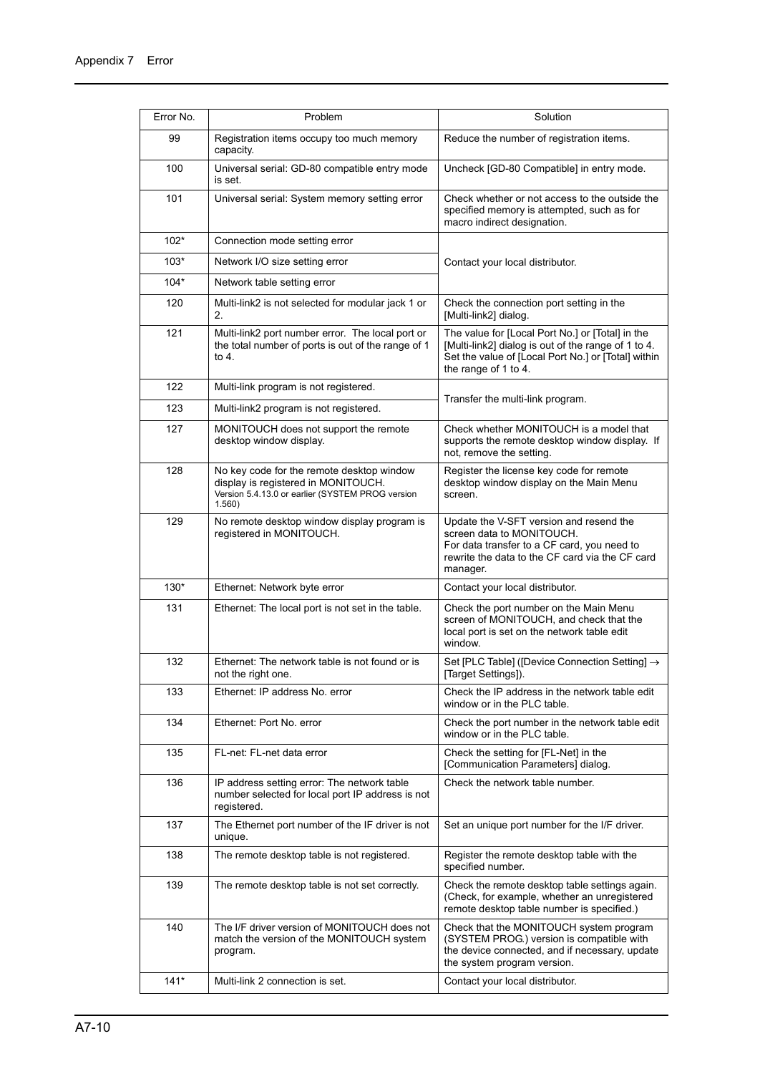| Error No. | Problem                                                                                                                                        | Solution                                                                                                                                                                               |
|-----------|------------------------------------------------------------------------------------------------------------------------------------------------|----------------------------------------------------------------------------------------------------------------------------------------------------------------------------------------|
| 99        | Registration items occupy too much memory<br>capacity.                                                                                         | Reduce the number of registration items.                                                                                                                                               |
| 100       | Universal serial: GD-80 compatible entry mode<br>is set.                                                                                       | Uncheck [GD-80 Compatible] in entry mode.                                                                                                                                              |
| 101       | Universal serial: System memory setting error                                                                                                  | Check whether or not access to the outside the<br>specified memory is attempted, such as for<br>macro indirect designation.                                                            |
| $102*$    | Connection mode setting error                                                                                                                  |                                                                                                                                                                                        |
| $103*$    | Network I/O size setting error                                                                                                                 | Contact your local distributor.                                                                                                                                                        |
| $104*$    | Network table setting error                                                                                                                    |                                                                                                                                                                                        |
| 120       | Multi-link2 is not selected for modular jack 1 or<br>2.                                                                                        | Check the connection port setting in the<br>[Multi-link2] dialog.                                                                                                                      |
| 121       | Multi-link2 port number error. The local port or<br>the total number of ports is out of the range of 1<br>to 4.                                | The value for [Local Port No.] or [Total] in the<br>[Multi-link2] dialog is out of the range of 1 to 4.<br>Set the value of [Local Port No.] or [Total] within<br>the range of 1 to 4. |
| 122       | Multi-link program is not registered.                                                                                                          |                                                                                                                                                                                        |
| 123       | Multi-link2 program is not registered.                                                                                                         | Transfer the multi-link program.                                                                                                                                                       |
| 127       | MONITOUCH does not support the remote<br>desktop window display.                                                                               | Check whether MONITOUCH is a model that<br>supports the remote desktop window display. If<br>not, remove the setting.                                                                  |
| 128       | No key code for the remote desktop window<br>display is registered in MONITOUCH.<br>Version 5.4.13.0 or earlier (SYSTEM PROG version<br>1.560) | Register the license key code for remote<br>desktop window display on the Main Menu<br>screen.                                                                                         |
| 129       | No remote desktop window display program is<br>registered in MONITOUCH.                                                                        | Update the V-SFT version and resend the<br>screen data to MONITOUCH.<br>For data transfer to a CF card, you need to<br>rewrite the data to the CF card via the CF card<br>manager.     |
| $130*$    | Ethernet: Network byte error                                                                                                                   | Contact your local distributor.                                                                                                                                                        |
| 131       | Ethernet: The local port is not set in the table.                                                                                              | Check the port number on the Main Menu<br>screen of MONITOUCH, and check that the<br>local port is set on the network table edit<br>window.                                            |
| 132       | Ethernet: The network table is not found or is<br>not the right one.                                                                           | Set [PLC Table] ([Device Connection Setting] →<br>[Target Settings]).                                                                                                                  |
| 133       | Ethernet: IP address No. error                                                                                                                 | Check the IP address in the network table edit<br>window or in the PLC table.                                                                                                          |
| 134       | Ethernet: Port No. error                                                                                                                       | Check the port number in the network table edit<br>window or in the PLC table.                                                                                                         |
| 135       | FL-net: FL-net data error                                                                                                                      | Check the setting for [FL-Net] in the<br>[Communication Parameters] dialog.                                                                                                            |
| 136       | IP address setting error: The network table<br>number selected for local port IP address is not<br>registered.                                 | Check the network table number.                                                                                                                                                        |
| 137       | The Ethernet port number of the IF driver is not<br>unique.                                                                                    | Set an unique port number for the I/F driver.                                                                                                                                          |
| 138       | The remote desktop table is not registered.                                                                                                    | Register the remote desktop table with the<br>specified number.                                                                                                                        |
| 139       | The remote desktop table is not set correctly.                                                                                                 | Check the remote desktop table settings again.<br>(Check, for example, whether an unregistered<br>remote desktop table number is specified.)                                           |
| 140       | The I/F driver version of MONITOUCH does not<br>match the version of the MONITOUCH system<br>program.                                          | Check that the MONITOUCH system program<br>(SYSTEM PROG.) version is compatible with<br>the device connected, and if necessary, update<br>the system program version.                  |
| $141*$    | Multi-link 2 connection is set.                                                                                                                | Contact your local distributor.                                                                                                                                                        |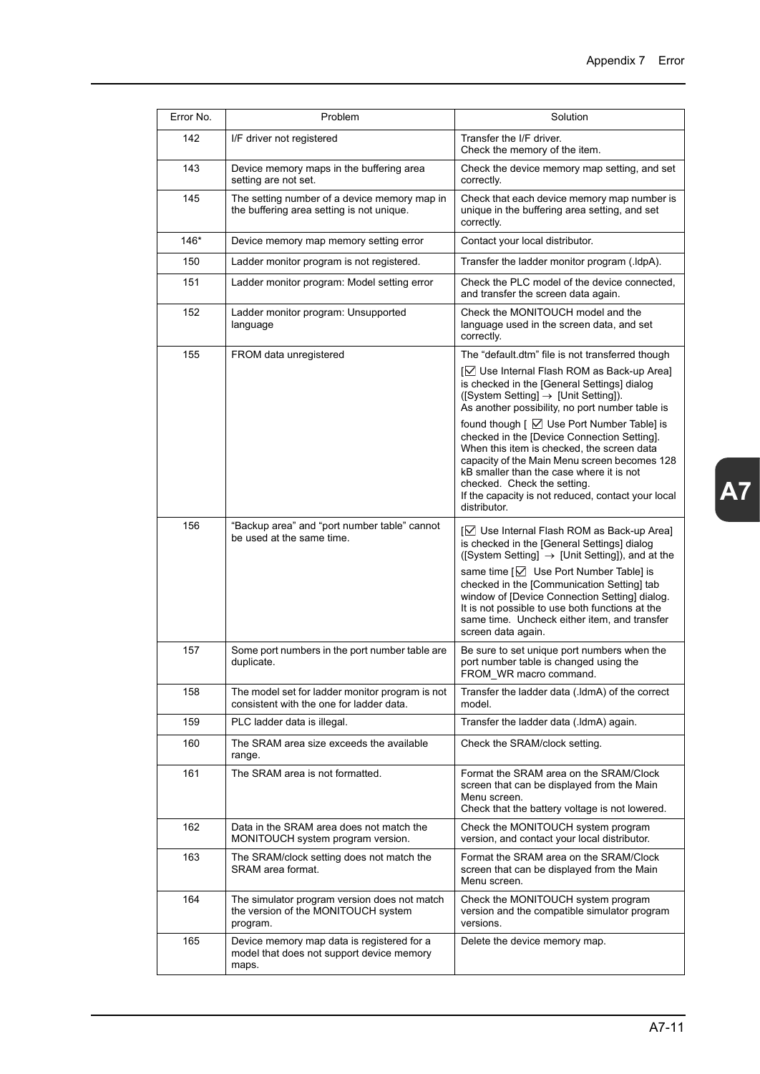| Error No. | Problem                                                                                          | Solution                                                                                                                                                                                                                                                                                                                                                                                                                   |
|-----------|--------------------------------------------------------------------------------------------------|----------------------------------------------------------------------------------------------------------------------------------------------------------------------------------------------------------------------------------------------------------------------------------------------------------------------------------------------------------------------------------------------------------------------------|
| 142       | I/F driver not registered                                                                        | Transfer the I/F driver.<br>Check the memory of the item.                                                                                                                                                                                                                                                                                                                                                                  |
| 143       | Device memory maps in the buffering area<br>setting are not set.                                 | Check the device memory map setting, and set<br>correctly.                                                                                                                                                                                                                                                                                                                                                                 |
| 145       | The setting number of a device memory map in<br>the buffering area setting is not unique.        | Check that each device memory map number is<br>unique in the buffering area setting, and set<br>correctly.                                                                                                                                                                                                                                                                                                                 |
| 146*      | Device memory map memory setting error                                                           | Contact your local distributor.                                                                                                                                                                                                                                                                                                                                                                                            |
| 150       | Ladder monitor program is not registered.                                                        | Transfer the ladder monitor program (.ldpA).                                                                                                                                                                                                                                                                                                                                                                               |
| 151       | Ladder monitor program: Model setting error                                                      | Check the PLC model of the device connected.<br>and transfer the screen data again.                                                                                                                                                                                                                                                                                                                                        |
| 152       | Ladder monitor program: Unsupported<br>language                                                  | Check the MONITOUCH model and the<br>language used in the screen data, and set<br>correctly.                                                                                                                                                                                                                                                                                                                               |
| 155       | FROM data unregistered                                                                           | The "default.dtm" file is not transferred though                                                                                                                                                                                                                                                                                                                                                                           |
|           |                                                                                                  | [⊠ Use Internal Flash ROM as Back-up Area]<br>is checked in the [General Settings] dialog<br>([System Setting] $\rightarrow$ [Unit Setting]).<br>As another possibility, no port number table is                                                                                                                                                                                                                           |
|           |                                                                                                  | found though $\lceil \bigtriangledown \rceil$ Use Port Number Table] is<br>checked in the [Device Connection Setting].<br>When this item is checked, the screen data<br>capacity of the Main Menu screen becomes 128<br>kB smaller than the case where it is not<br>checked. Check the setting.<br>If the capacity is not reduced, contact your local<br>distributor.                                                      |
| 156       | "Backup area" and "port number table" cannot<br>be used at the same time.                        | [⊠ Use Internal Flash ROM as Back-up Area]<br>is checked in the [General Settings] dialog<br>([System Setting] $\rightarrow$ [Unit Setting]), and at the<br>same time [☑ Use Port Number Table] is<br>checked in the [Communication Setting] tab<br>window of [Device Connection Setting] dialog.<br>It is not possible to use both functions at the<br>same time. Uncheck either item, and transfer<br>screen data again. |
| 157       | Some port numbers in the port number table are<br>duplicate.                                     | Be sure to set unique port numbers when the<br>port number table is changed using the<br>FROM WR macro command.                                                                                                                                                                                                                                                                                                            |
| 158       | The model set for ladder monitor program is not<br>consistent with the one for ladder data.      | Transfer the ladder data (.ldmA) of the correct<br>model.                                                                                                                                                                                                                                                                                                                                                                  |
| 159       | PLC ladder data is illegal.                                                                      | Transfer the ladder data (.ldmA) again.                                                                                                                                                                                                                                                                                                                                                                                    |
| 160       | The SRAM area size exceeds the available<br>range.                                               | Check the SRAM/clock setting.                                                                                                                                                                                                                                                                                                                                                                                              |
| 161       | The SRAM area is not formatted.                                                                  | Format the SRAM area on the SRAM/Clock<br>screen that can be displayed from the Main<br>Menu screen.<br>Check that the battery voltage is not lowered.                                                                                                                                                                                                                                                                     |
| 162       | Data in the SRAM area does not match the<br>MONITOUCH system program version.                    | Check the MONITOUCH system program<br>version, and contact your local distributor.                                                                                                                                                                                                                                                                                                                                         |
| 163       | The SRAM/clock setting does not match the<br>SRAM area format.                                   | Format the SRAM area on the SRAM/Clock<br>screen that can be displayed from the Main<br>Menu screen.                                                                                                                                                                                                                                                                                                                       |
| 164       | The simulator program version does not match<br>the version of the MONITOUCH system<br>program.  | Check the MONITOUCH system program<br>version and the compatible simulator program<br>versions.                                                                                                                                                                                                                                                                                                                            |
| 165       | Device memory map data is registered for a<br>model that does not support device memory<br>maps. | Delete the device memory map.                                                                                                                                                                                                                                                                                                                                                                                              |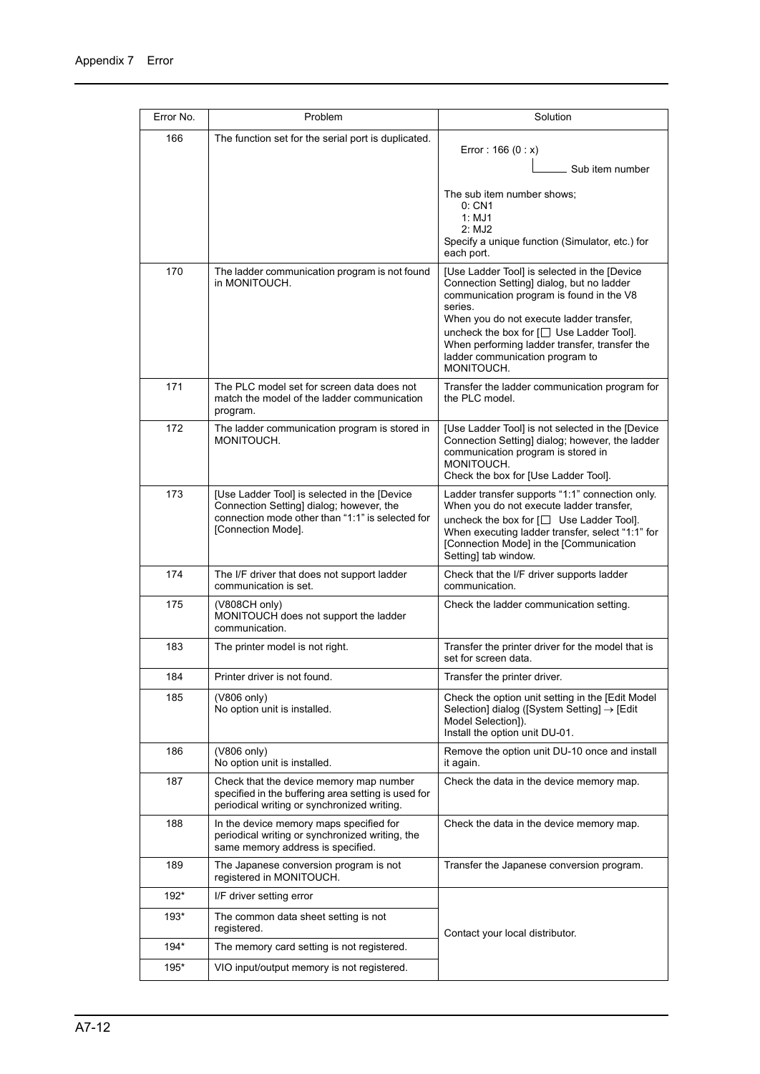| Error No. | Problem                                                                                                                                                            | Solution                                                                                                                                                                                                                                                                                                                                            |
|-----------|--------------------------------------------------------------------------------------------------------------------------------------------------------------------|-----------------------------------------------------------------------------------------------------------------------------------------------------------------------------------------------------------------------------------------------------------------------------------------------------------------------------------------------------|
| 166       | The function set for the serial port is duplicated.                                                                                                                | Error: $166 (0 : x)$<br>Sub item number                                                                                                                                                                                                                                                                                                             |
|           |                                                                                                                                                                    | The sub item number shows;<br>0: CN1<br>1: MJ1<br>2: MJ2<br>Specify a unique function (Simulator, etc.) for<br>each port.                                                                                                                                                                                                                           |
| 170       | The ladder communication program is not found<br>in MONITOUCH.                                                                                                     | [Use Ladder Tool] is selected in the [Device<br>Connection Setting] dialog, but no ladder<br>communication program is found in the V8<br>series.<br>When you do not execute ladder transfer,<br>uncheck the box for $[\square]$ Use Ladder Tool].<br>When performing ladder transfer, transfer the<br>ladder communication program to<br>MONITOUCH. |
| 171       | The PLC model set for screen data does not<br>match the model of the ladder communication<br>program.                                                              | Transfer the ladder communication program for<br>the PLC model.                                                                                                                                                                                                                                                                                     |
| 172       | The ladder communication program is stored in<br>MONITOUCH.                                                                                                        | [Use Ladder Tool] is not selected in the [Device]<br>Connection Setting] dialog; however, the ladder<br>communication program is stored in<br>MONITOUCH.<br>Check the box for [Use Ladder Tool].                                                                                                                                                    |
| 173       | [Use Ladder Tool] is selected in the [Device<br>Connection Setting] dialog; however, the<br>connection mode other than "1:1" is selected for<br>[Connection Mode]. | Ladder transfer supports "1:1" connection only.<br>When you do not execute ladder transfer,<br>uncheck the box for $\Box$ Use Ladder Tooll.<br>When executing ladder transfer, select "1:1" for<br>[Connection Mode] in the [Communication<br>Setting] tab window.                                                                                  |
| 174       | The I/F driver that does not support ladder<br>communication is set.                                                                                               | Check that the I/F driver supports ladder<br>communication.                                                                                                                                                                                                                                                                                         |
| 175       | (V808CH only)<br>MONITOUCH does not support the ladder<br>communication.                                                                                           | Check the ladder communication setting.                                                                                                                                                                                                                                                                                                             |
| 183       | The printer model is not right.                                                                                                                                    | Transfer the printer driver for the model that is<br>set for screen data.                                                                                                                                                                                                                                                                           |
| 184       | Printer driver is not found.                                                                                                                                       | Transfer the printer driver.                                                                                                                                                                                                                                                                                                                        |
| 185       | (V806 only)<br>No option unit is installed.                                                                                                                        | Check the option unit setting in the [Edit Model<br>Selection] dialog ([System Setting] $\rightarrow$ [Edit]<br>Model Selection]).<br>Install the option unit DU-01.                                                                                                                                                                                |
| 186       | (V806 only)<br>No option unit is installed.                                                                                                                        | Remove the option unit DU-10 once and install<br>it again.                                                                                                                                                                                                                                                                                          |
| 187       | Check that the device memory map number<br>specified in the buffering area setting is used for<br>periodical writing or synchronized writing.                      | Check the data in the device memory map.                                                                                                                                                                                                                                                                                                            |
| 188       | In the device memory maps specified for<br>periodical writing or synchronized writing, the<br>same memory address is specified.                                    | Check the data in the device memory map.                                                                                                                                                                                                                                                                                                            |
| 189       | The Japanese conversion program is not<br>registered in MONITOUCH.                                                                                                 | Transfer the Japanese conversion program.                                                                                                                                                                                                                                                                                                           |
| 192*      | I/F driver setting error                                                                                                                                           |                                                                                                                                                                                                                                                                                                                                                     |
| 193*      | The common data sheet setting is not<br>registered.                                                                                                                | Contact your local distributor.                                                                                                                                                                                                                                                                                                                     |
| 194*      | The memory card setting is not registered.                                                                                                                         |                                                                                                                                                                                                                                                                                                                                                     |
| $195*$    | VIO input/output memory is not registered.                                                                                                                         |                                                                                                                                                                                                                                                                                                                                                     |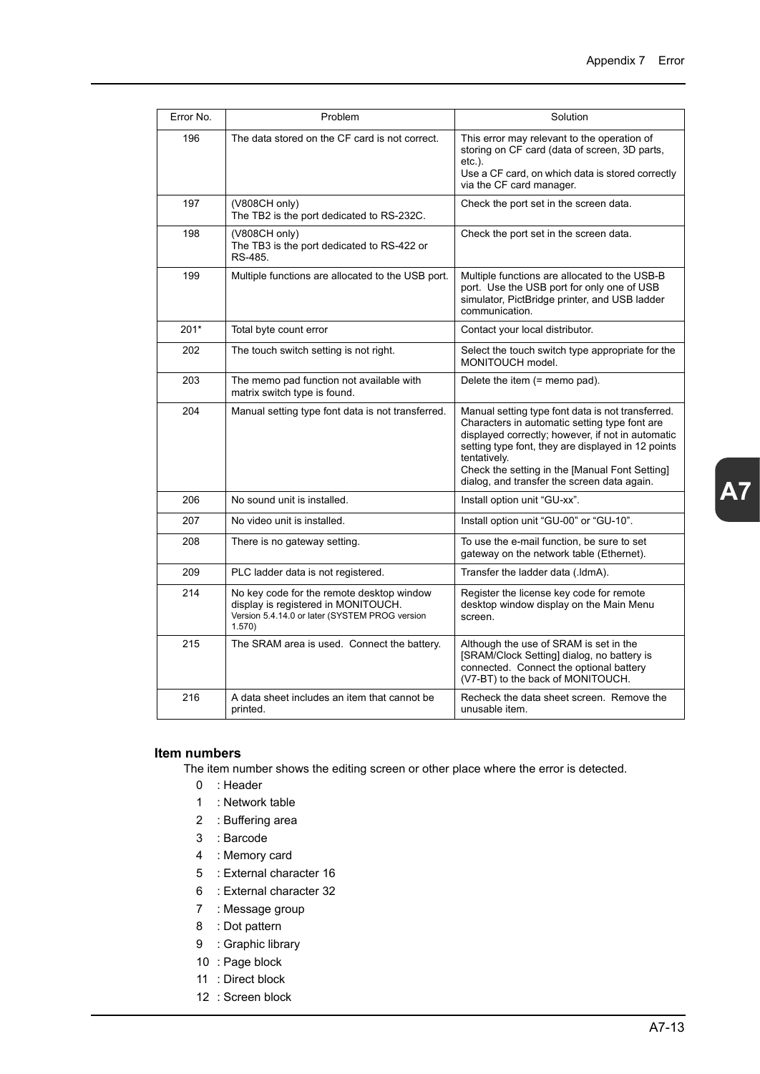| Error No. | Problem                                                                                                                                      | Solution                                                                                                                                                                                                                                                                                                                       |
|-----------|----------------------------------------------------------------------------------------------------------------------------------------------|--------------------------------------------------------------------------------------------------------------------------------------------------------------------------------------------------------------------------------------------------------------------------------------------------------------------------------|
| 196       | The data stored on the CF card is not correct.                                                                                               | This error may relevant to the operation of<br>storing on CF card (data of screen, 3D parts,<br>$etc.$ ).<br>Use a CF card, on which data is stored correctly<br>via the CF card manager.                                                                                                                                      |
| 197       | (V808CH only)<br>The TB2 is the port dedicated to RS-232C.                                                                                   | Check the port set in the screen data.                                                                                                                                                                                                                                                                                         |
| 198       | (V808CH only)<br>The TB3 is the port dedicated to RS-422 or<br>RS-485.                                                                       | Check the port set in the screen data.                                                                                                                                                                                                                                                                                         |
| 199       | Multiple functions are allocated to the USB port.                                                                                            | Multiple functions are allocated to the USB-B<br>port. Use the USB port for only one of USB<br>simulator, PictBridge printer, and USB ladder<br>communication.                                                                                                                                                                 |
| $201*$    | Total byte count error                                                                                                                       | Contact your local distributor.                                                                                                                                                                                                                                                                                                |
| 202       | The touch switch setting is not right.                                                                                                       | Select the touch switch type appropriate for the<br>MONITOUCH model.                                                                                                                                                                                                                                                           |
| 203       | The memo pad function not available with<br>matrix switch type is found.                                                                     | Delete the item (= memo pad).                                                                                                                                                                                                                                                                                                  |
| 204       | Manual setting type font data is not transferred.                                                                                            | Manual setting type font data is not transferred.<br>Characters in automatic setting type font are<br>displayed correctly; however, if not in automatic<br>setting type font, they are displayed in 12 points<br>tentatively.<br>Check the setting in the [Manual Font Setting]<br>dialog, and transfer the screen data again. |
| 206       | No sound unit is installed.                                                                                                                  | Install option unit "GU-xx".                                                                                                                                                                                                                                                                                                   |
| 207       | No video unit is installed.                                                                                                                  | Install option unit "GU-00" or "GU-10".                                                                                                                                                                                                                                                                                        |
| 208       | There is no gateway setting.                                                                                                                 | To use the e-mail function, be sure to set<br>gateway on the network table (Ethernet).                                                                                                                                                                                                                                         |
| 209       | PLC ladder data is not registered.                                                                                                           | Transfer the ladder data (.ldmA).                                                                                                                                                                                                                                                                                              |
| 214       | No key code for the remote desktop window<br>display is registered in MONITOUCH.<br>Version 5.4.14.0 or later (SYSTEM PROG version<br>1.570) | Register the license key code for remote<br>desktop window display on the Main Menu<br>screen.                                                                                                                                                                                                                                 |
| 215       | The SRAM area is used. Connect the battery.                                                                                                  | Although the use of SRAM is set in the<br>[SRAM/Clock Setting] dialog, no battery is<br>connected. Connect the optional battery<br>(V7-BT) to the back of MONITOUCH.                                                                                                                                                           |
| 216       | A data sheet includes an item that cannot be<br>printed.                                                                                     | Recheck the data sheet screen. Remove the<br>unusable item.                                                                                                                                                                                                                                                                    |

#### **Item numbers**

The item number shows the editing screen or other place where the error is detected.

- 0 : Header
- 1 : Network table
- 2 : Buffering area
- 3 : Barcode
- 4 : Memory card
- 5 : External character 16
- 6 : External character 32
- 7 : Message group
- 8 : Dot pattern
- 9 : Graphic library
- 10 : Page block
- 11 : Direct block
- 12 : Screen block